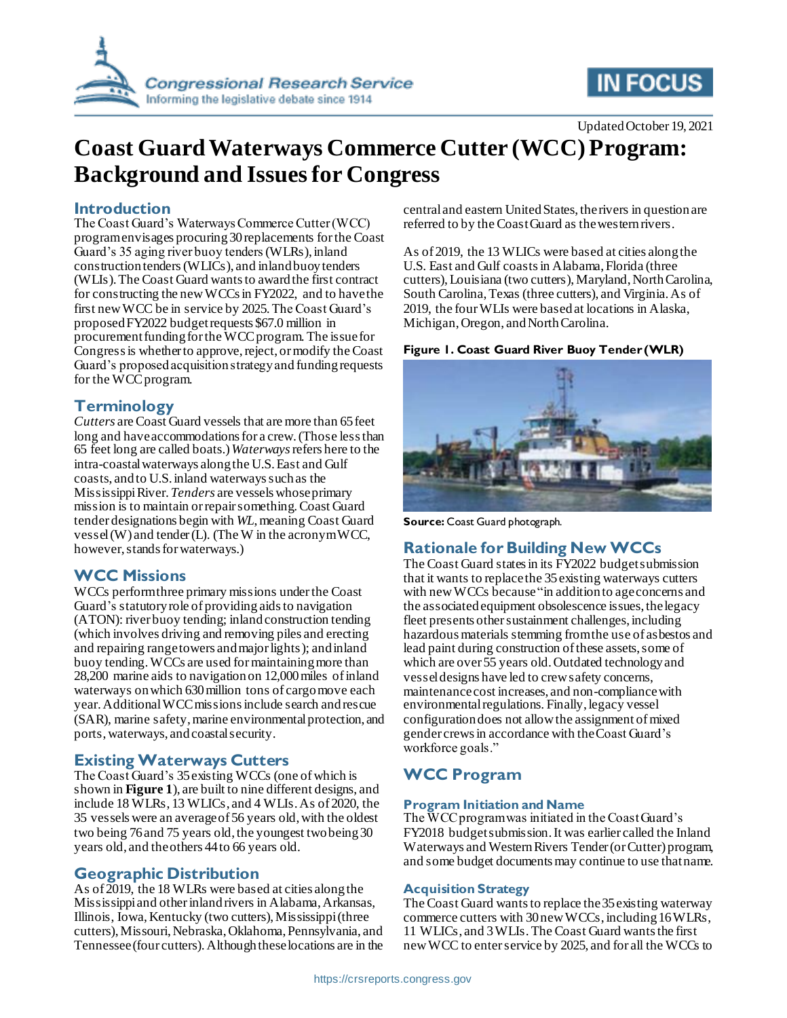

# **IN FOCUS**

Updated October 19, 2021

# **Coast Guard Waterways Commerce Cutter (WCC) Program: Background and Issues for Congress**

## **Introduction**

The Coast Guard's Waterways Commerce Cutter (WCC) program envisages procuring 30replacements for the Coast Guard's 35 aging river buoy tenders(WLRs), inland construction tenders(WLICs), and inland buoy tenders (WLIs). The Coast Guard wants to award the first contract for constructing the new WCCs in FY2022, and to have the first new WCC be in service by 2025. The Coast Guard's proposed FY2022 budget requests \$67.0 million in procurement funding for the WCC program. The issue for Congress is whether to approve, reject, or modify the Coast Guard's proposed acquisition strategy and funding requests for the WCC program.

# **Terminology**

*Cutters* are Coast Guard vessels that are more than 65 feet long and have accommodations for a crew. (Those less than 65 feet long are called boats.)*Waterways*refers here to the intra-coastal waterways along the U.S. East and Gulf coasts, and to U.S. inland waterways such as the MississippiRiver.*Tenders* are vessels whose primary mission is to maintain or repair something. Coast Guard tender designations begin with *WL*, meaning Coast Guard vessel (W) and tender (L). (The W in the acronym WCC, however, stands for waterways.)

# **WCC Missions**

WCCs perform three primary missions under the Coast Guard's statutory role of providing aids to navigation (ATON): river buoy tending; inland construction tending (which involves driving and removing piles and erecting and repairing range towers and major lights); and inland buoy tending.WCCs are used for maintaining more than 28,200 marine aids to navigation on 12,000 miles of inland waterways on which 630 million tons of cargo move each year.Additional WCC missions include search and rescue (SAR), marine safety, marine environmental protection, and ports, waterways, and coastal security.

### **Existing Waterways Cutters**

The Coast Guard's 35 existing WCCs (one of which is shown in **[Figure 1](#page-0-0)**), are built to nine different designs, and include 18 WLRs, 13 WLICs, and 4 WLIs. As of 2020, the 35 vessels were an average of 56 years old, with the oldest two being 76 and 75 years old, the youngest two being 30 years old, and the others 44 to 66 years old.

# **Geographic Distribution**

As of 2019, the 18 WLRs were based at cities along the Mississippi and other inland rivers in Alabama, Arkansas, Illinois, Iowa, Kentucky (two cutters), Mississippi (three cutters), Missouri, Nebraska, Oklahoma, Pennsylvania, and Tennessee (four cutters). Although these locations are in the central and eastern United States, the rivers in question are referred to by the Coast Guard as the western rivers.

As of 2019, the 13 WLICs were based at cities along the U.S. East and Gulf coasts in Alabama, Florida (three cutters), Louisiana (two cutters), Maryland, North Carolina, South Carolina, Texas (three cutters), and Virginia. As of 2019, the four WLIs were based at locations in Alaska, Michigan, Oregon, and North Carolina.

### <span id="page-0-0"></span>**Figure 1. Coast Guard River Buoy Tender (WLR)**



**Source:** Coast Guard photograph.

# **Rationale for Building New WCCs**

The Coast Guard states in its FY2022 budget submission that it wants to replacethe 35 existing waterways cutters with new WCCs because "in addition to age concerns and the associated equipment obsolescence issues, the legacy fleet presents other sustainment challenges, including hazardous materials stemming from the use of asbestos and lead paint during construction of these assets, some of which are over 55 years old. Outdated technology and vessel designs have led to crew safety concerns, maintenance cost increases, and non-compliance with environmental regulations. Finally, legacy vessel configuration does not allow the assignment of mixed gender crews in accordance with the Coast Guard's workforce goals."

# **WCC Program**

### **Program Initiation and Name**

The WCC program was initiated in the Coast Guard's FY2018 budget submission. It was earlier called the Inland Waterways and Western Rivers Tender (or Cutter) program, and some budget documents may continue to use that name.

### **Acquisition Strategy**

The Coast Guard wants to replace the 35 existing waterway commerce cutters with 30new WCCs, including 16 WLRs, 11 WLICs, and 3 WLIs. The Coast Guard wants the first new WCC to enter service by 2025, and for all the WCCs to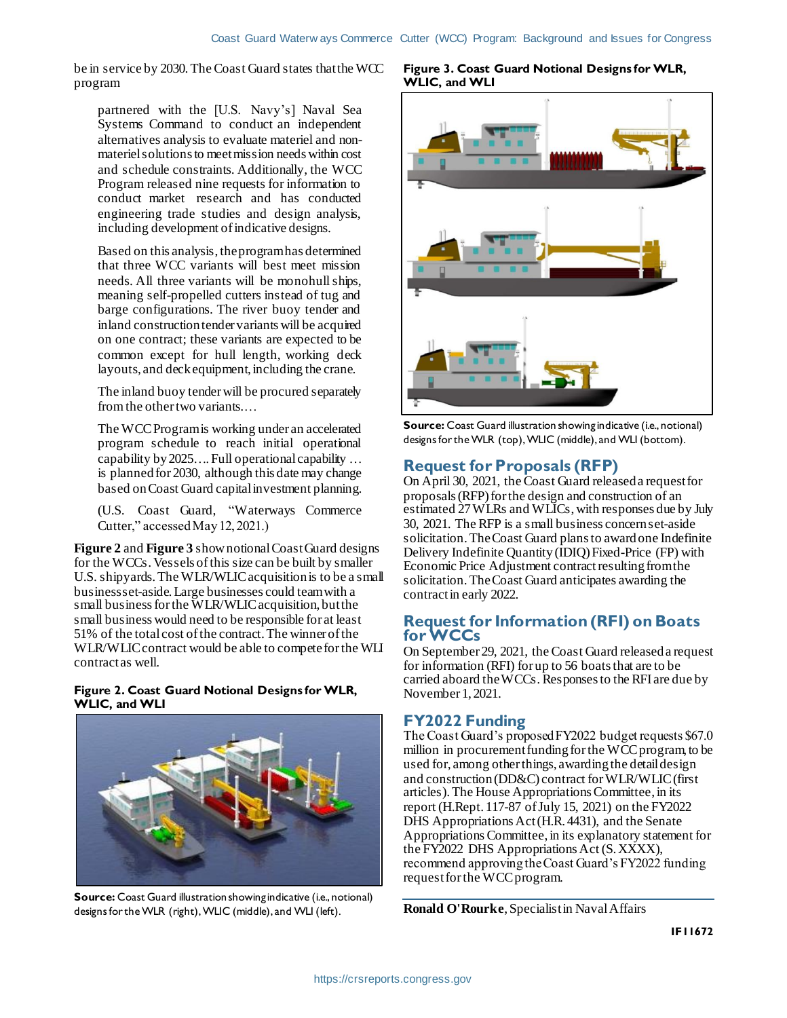be in service by 2030. The Coast Guard states that the WCC program

partnered with the [U.S. Navy's] Naval Sea Systems Command to conduct an independent alternatives analysis to evaluate materiel and nonmateriel solutions to meet mission needs within cost and schedule constraints. Additionally, the WCC Program released nine requests for information to conduct market research and has conducted engineering trade studies and design analysis, including development of indicative designs.

Based on this analysis, the program has determined that three WCC variants will best meet mission needs. All three variants will be monohull ships, meaning self-propelled cutters instead of tug and barge configurations. The river buoy tender and inland construction tender variants will be acquired on one contract; these variants are expected to be common except for hull length, working deck layouts, and deck equipment, including the crane.

The inland buoy tender will be procured separately from the other two variants.…

The WCC Program is working under an accelerated program schedule to reach initial operational capability by 2025…. Full operational capability … is planned for 2030, although this date may change based on Coast Guard capital investment planning.

(U.S. Coast Guard, "Waterways Commerce Cutter," accessed May 12, 2021.)

**[Figure 2](#page-1-0)** and **[Figure 3](#page-1-1)** show notional Coast Guard designs for the WCCs.Vessels of this size can be built by smaller U.S. shipyards. The WLR/WLIC acquisition is to be a small business set-aside. Large businesses could team with a small business for the WLR/WLIC acquisition, but the small business would need to be responsible for at least 51% of the total cost of the contract. The winner of the WLR/WLIC contract would be able to compete for the WLI contract as well.

### <span id="page-1-0"></span>**Figure 2. Coast Guard Notional Designs for WLR, WLIC, and WLI**



**Source:** Coast Guard illustration showing indicative (i.e., notional) designs for the WLR (right), WLIC (middle), and WLI (left).

#### <span id="page-1-1"></span>**Figure 3. Coast Guard Notional Designs for WLR, WLIC, and WLI**



**Source:** Coast Guard illustration showing indicative (i.e., notional) designs for the WLR (top), WLIC (middle), and WLI (bottom).

# **Request for Proposals (RFP)**

On April 30, 2021, the Coast Guard released a request for proposals (RFP) for the design and construction of an estimated 27 WLRs and WLICs, with responses due by July 30, 2021. The RFP is a small business concern set-aside solicitation. The Coast Guard plans to award one Indefinite Delivery Indefinite Quantity (IDIQ) Fixed-Price (FP) with Economic Price Adjustment contract resulting from the solicitation.The Coast Guard anticipates awarding the contract in early 2022.

## **Request for Information (RFI) on Boats for WCCs**

On September 29, 2021, the Coast Guard released a request for information (RFI) for up to 56 boats that are to be carried aboard the WCCs. Responses to the RFI are due by November 1, 2021.

# **FY2022 Funding**

The Coast Guard's proposed FY2022 budget requests \$67.0 million in procurement funding for the WCC program, to be used for, among other things, awardingthe detail design and construction (DD&C) contract for WLR/WLIC (first articles).The House Appropriations Committee, in its report (H.Rept. 117-87 of July 15, 2021) on the FY2022 DHS Appropriations Act (H.R. 4431), and the Senate AppropriationsCommittee, in its explanatory statement for the FY2022 DHS Appropriations Act (S. XXXX), recommend approving the Coast Guard's FY2022 funding request for the WCC program.

**Ronald O'Rourke**, Specialist in Naval Affairs